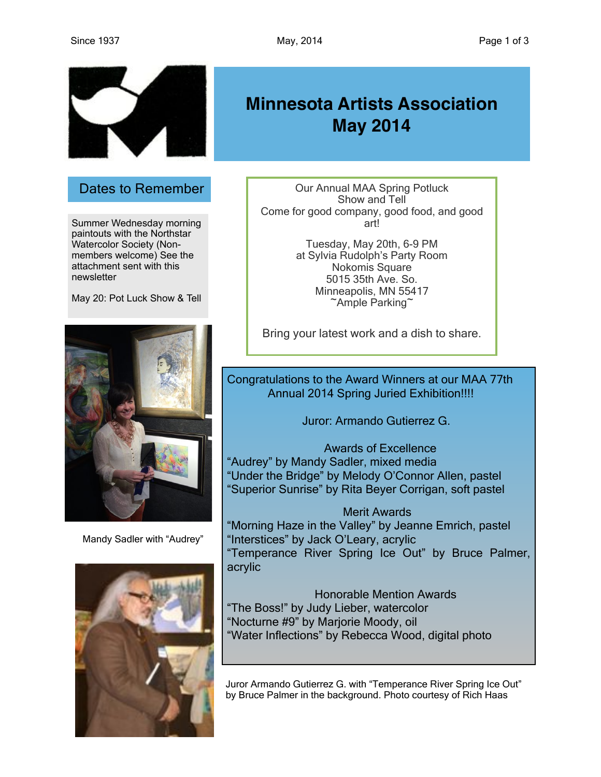

## Dates to Remember

Summer Wednesday morning paintouts with the Northstar Watercolor Society (Nonmembers welcome) See the attachment sent with this newsletter

May 20: Pot Luck Show & Tell



Mandy Sadler with "Audrey"



## **Minnesota Artists Association May 2014**

Our Annual MAA Spring Potluck Show and Tell Come for good company, good food, and good art!

> Tuesday, May 20th, 6-9 PM at Sylvia Rudolph's Party Room Nokomis Square 5015 35th Ave. So. Minneapolis, MN 55417 ~Ample Parking~

Bring your latest work and a dish to share.

Congratulations to the Award Winners at our MAA 77th Annual 2014 Spring Juried Exhibition!!!!

Juror: Armando Gutierrez G.

 Awards of Excellence "Audrey" by Mandy Sadler, mixed media "Under the Bridge" by Melody O'Connor Allen, pastel "Superior Sunrise" by Rita Beyer Corrigan, soft pastel

 Merit Awards "Morning Haze in the Valley" by Jeanne Emrich, pastel "Interstices" by Jack O'Leary, acrylic "Temperance River Spring Ice Out" by Bruce Palmer, acrylic

 Honorable Mention Awards "The Boss!" by Judy Lieber, watercolor "Nocturne #9" by Marjorie Moody, oil "Water Inflections" by Rebecca Wood, digital photo

Juror Armando Gutierrez G. with "Temperance River Spring Ice Out" by Bruce Palmer in the background. Photo courtesy of Rich Haas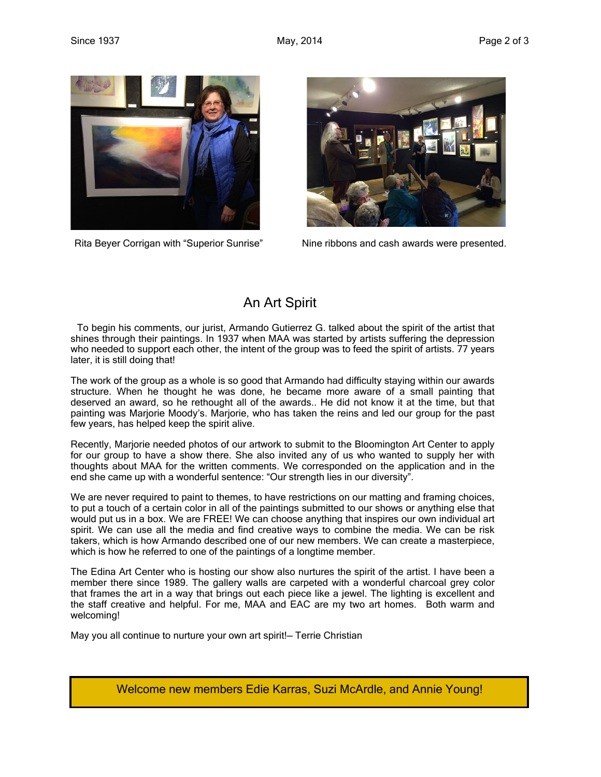



Rita Beyer Corrigan with "Superior Sunrise" Nine ribbons and cash awards were presented.

## An Art Spirit

 To begin his comments, our jurist, Armando Gutierrez G. talked about the spirit of the artist that shines through their paintings. In 1937 when MAA was started by artists suffering the depression who needed to support each other, the intent of the group was to feed the spirit of artists. 77 years later, it is still doing that!

The work of the group as a whole is so good that Armando had difficulty staying within our awards structure. When he thought he was done, he became more aware of a small painting that deserved an award, so he rethought all of the awards.. He did not know it at the time, but that painting was Marjorie Moody's. Marjorie, who has taken the reins and led our group for the past few years, has helped keep the spirit alive.

Recently, Marjorie needed photos of our artwork to submit to the Bloomington Art Center to apply for our group to have a show there. She also invited any of us who wanted to supply her with thoughts about MAA for the written comments. We corresponded on the application and in the end she came up with a wonderful sentence: "Our strength lies in our diversity".

We are never required to paint to themes, to have restrictions on our matting and framing choices, to put a touch of a certain color in all of the paintings submitted to our shows or anything else that would put us in a box. We are FREE! We can choose anything that inspires our own individual art spirit. We can use all the media and find creative ways to combine the media. We can be risk takers, which is how Armando described one of our new members. We can create a masterpiece, which is how he referred to one of the paintings of a longtime member.

The Edina Art Center who is hosting our show also nurtures the spirit of the artist. I have been a member there since 1989. The gallery walls are carpeted with a wonderful charcoal grey color that frames the art in a way that brings out each piece like a jewel. The lighting is excellent and the staff creative and helpful. For me, MAA and EAC are my two art homes. Both warm and welcoming!

May you all continue to nurture your own art spirit!— Terrie Christian

Welcome new members Edie Karras, Suzi McArdle, and Annie Young!